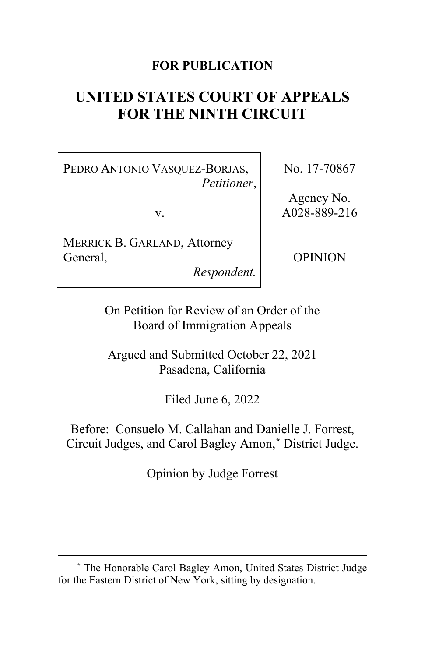# **FOR PUBLICATION**

# **UNITED STATES COURT OF APPEALS FOR THE NINTH CIRCUIT**

PEDRO ANTONIO VASQUEZ-BORJAS, *Petitioner*,

v.

MERRICK B. GARLAND, Attorney General,

*Respondent.*

No. 17-70867

Agency No. A028-889-216

OPINION

On Petition for Review of an Order of the Board of Immigration Appeals

Argued and Submitted October 22, 2021 Pasadena, California

Filed June 6, 2022

Before: Consuelo M. Callahan and Danielle J. Forrest, Circuit Judges, and Carol Bagley Amon,**[\\*](#page-0-0)** District Judge.

Opinion by Judge Forrest

<span id="page-0-0"></span>**<sup>\*</sup>** The Honorable Carol Bagley Amon, United States District Judge for the Eastern District of New York, sitting by designation.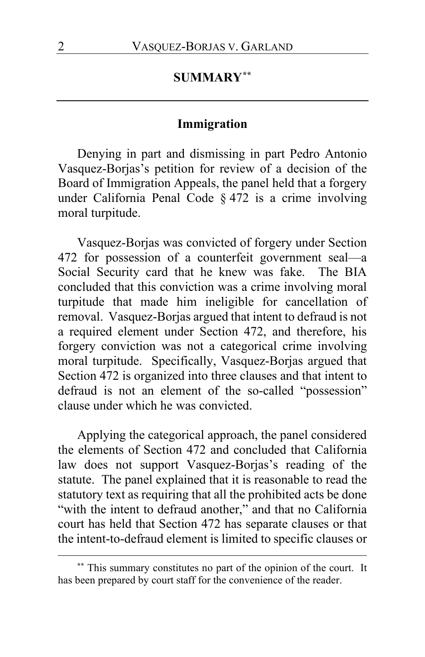# **SUMMARY[\\*\\*](#page-1-0)**

### **Immigration**

Denying in part and dismissing in part Pedro Antonio Vasquez-Borjas's petition for review of a decision of the Board of Immigration Appeals, the panel held that a forgery under California Penal Code § 472 is a crime involving moral turpitude.

Vasquez-Borjas was convicted of forgery under Section 472 for possession of a counterfeit government seal—a Social Security card that he knew was fake. The BIA concluded that this conviction was a crime involving moral turpitude that made him ineligible for cancellation of removal. Vasquez-Borjas argued that intent to defraud is not a required element under Section 472, and therefore, his forgery conviction was not a categorical crime involving moral turpitude. Specifically, Vasquez-Borjas argued that Section 472 is organized into three clauses and that intent to defraud is not an element of the so-called "possession" clause under which he was convicted.

Applying the categorical approach, the panel considered the elements of Section 472 and concluded that California law does not support Vasquez-Borjas's reading of the statute. The panel explained that it is reasonable to read the statutory text as requiring that all the prohibited acts be done "with the intent to defraud another," and that no California court has held that Section 472 has separate clauses or that the intent-to-defraud element is limited to specific clauses or

<span id="page-1-0"></span>**<sup>\*\*</sup>** This summary constitutes no part of the opinion of the court. It has been prepared by court staff for the convenience of the reader.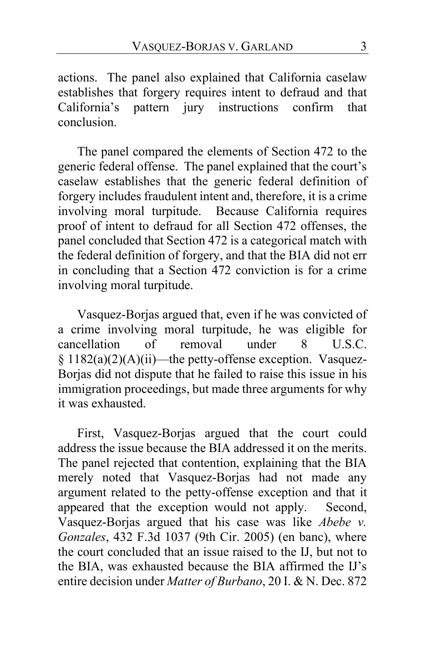actions. The panel also explained that California caselaw establishes that forgery requires intent to defraud and that California's pattern jury instructions confirm that conclusion.

The panel compared the elements of Section 472 to the generic federal offense. The panel explained that the court's caselaw establishes that the generic federal definition of forgery includes fraudulent intent and, therefore, it is a crime involving moral turpitude. Because California requires proof of intent to defraud for all Section 472 offenses, the panel concluded that Section 472 is a categorical match with the federal definition of forgery, and that the BIA did not err in concluding that a Section 472 conviction is for a crime involving moral turpitude.

Vasquez-Borjas argued that, even if he was convicted of a crime involving moral turpitude, he was eligible for<br>cancellation of removal under 8 U.S.C. cancellation of removal under 8 U.S.C. § 1182(a)(2)(A)(ii)—the petty-offense exception. Vasquez-Borjas did not dispute that he failed to raise this issue in his immigration proceedings, but made three arguments for why it was exhausted.

First, Vasquez-Borjas argued that the court could address the issue because the BIA addressed it on the merits. The panel rejected that contention, explaining that the BIA merely noted that Vasquez-Borjas had not made any argument related to the petty-offense exception and that it appeared that the exception would not apply. Second, Vasquez-Borjas argued that his case was like *Abebe v. Gonzales*, 432 F.3d 1037 (9th Cir. 2005) (en banc), where the court concluded that an issue raised to the IJ, but not to the BIA, was exhausted because the BIA affirmed the IJ's entire decision under *Matter of Burbano*, 20 I. & N. Dec. 872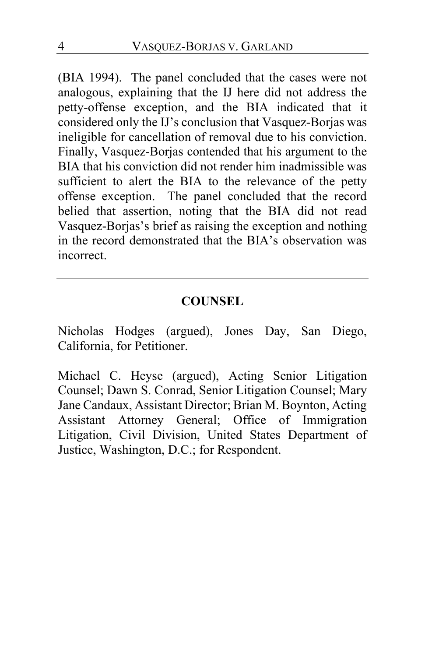(BIA 1994). The panel concluded that the cases were not analogous, explaining that the IJ here did not address the petty-offense exception, and the BIA indicated that it considered only the IJ's conclusion that Vasquez-Borjas was ineligible for cancellation of removal due to his conviction. Finally, Vasquez-Borjas contended that his argument to the BIA that his conviction did not render him inadmissible was sufficient to alert the BIA to the relevance of the petty offense exception. The panel concluded that the record belied that assertion, noting that the BIA did not read Vasquez-Borjas's brief as raising the exception and nothing in the record demonstrated that the BIA's observation was incorrect.

## **COUNSEL**

Nicholas Hodges (argued), Jones Day, San Diego, California, for Petitioner.

Michael C. Heyse (argued), Acting Senior Litigation Counsel; Dawn S. Conrad, Senior Litigation Counsel; Mary Jane Candaux, Assistant Director; Brian M. Boynton, Acting Assistant Attorney General; Office of Immigration Litigation, Civil Division, United States Department of Justice, Washington, D.C.; for Respondent.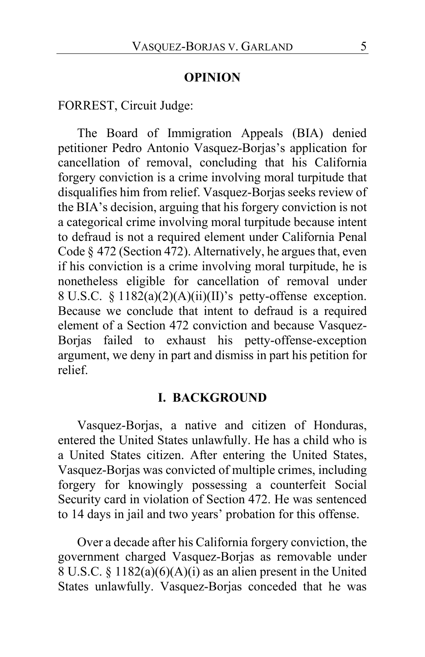#### **OPINION**

FORREST, Circuit Judge:

The Board of Immigration Appeals (BIA) denied petitioner Pedro Antonio Vasquez-Borjas's application for cancellation of removal, concluding that his California forgery conviction is a crime involving moral turpitude that disqualifies him from relief. Vasquez-Borjas seeks review of the BIA's decision, arguing that his forgery conviction is not a categorical crime involving moral turpitude because intent to defraud is not a required element under California Penal Code § 472 (Section 472). Alternatively, he argues that, even if his conviction is a crime involving moral turpitude, he is nonetheless eligible for cancellation of removal under 8 U.S.C. § 1182(a)(2)(A)(ii)(II)'s petty-offense exception. Because we conclude that intent to defraud is a required element of a Section 472 conviction and because Vasquez-Borjas failed to exhaust his petty-offense-exception argument, we deny in part and dismiss in part his petition for relief.

#### **I. BACKGROUND**

Vasquez-Borjas, a native and citizen of Honduras, entered the United States unlawfully. He has a child who is a United States citizen. After entering the United States, Vasquez-Borjas was convicted of multiple crimes, including forgery for knowingly possessing a counterfeit Social Security card in violation of Section 472. He was sentenced to 14 days in jail and two years' probation for this offense.

Over a decade after his California forgery conviction, the government charged Vasquez-Borjas as removable under 8 U.S.C. § 1182(a)(6)(A)(i) as an alien present in the United States unlawfully. Vasquez-Borjas conceded that he was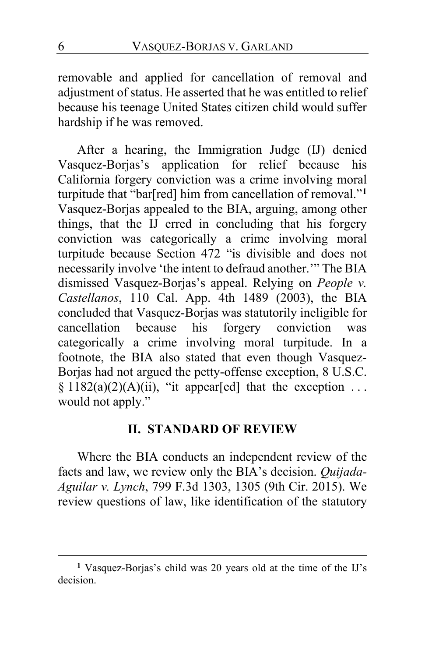removable and applied for cancellation of removal and adjustment of status. He asserted that he was entitled to relief because his teenage United States citizen child would suffer hardship if he was removed.

After a hearing, the Immigration Judge (IJ) denied Vasquez-Borjas's application for relief because his California forgery conviction was a crime involving moral turpitude that "bar[red] him from cancellation of removal."**[1](#page-5-0)** Vasquez-Borjas appealed to the BIA, arguing, among other things, that the IJ erred in concluding that his forgery conviction was categorically a crime involving moral turpitude because Section 472 "is divisible and does not necessarily involve 'the intent to defraud another.'" The BIA dismissed Vasquez-Borjas's appeal. Relying on *People v. Castellanos*, 110 Cal. App. 4th 1489 (2003), the BIA concluded that Vasquez-Borjas was statutorily ineligible for cancellation because his forgery conviction was categorically a crime involving moral turpitude. In a footnote, the BIA also stated that even though Vasquez-Borjas had not argued the petty-offense exception, 8 U.S.C. §  $1182(a)(2)(A)(ii)$ , "it appear[ed] that the exception ... would not apply."

#### **II. STANDARD OF REVIEW**

Where the BIA conducts an independent review of the facts and law, we review only the BIA's decision. *Quijada-Aguilar v. Lynch*, 799 F.3d 1303, 1305 (9th Cir. 2015). We review questions of law, like identification of the statutory

<span id="page-5-0"></span>**<sup>1</sup>** Vasquez-Borjas's child was 20 years old at the time of the IJ's decision.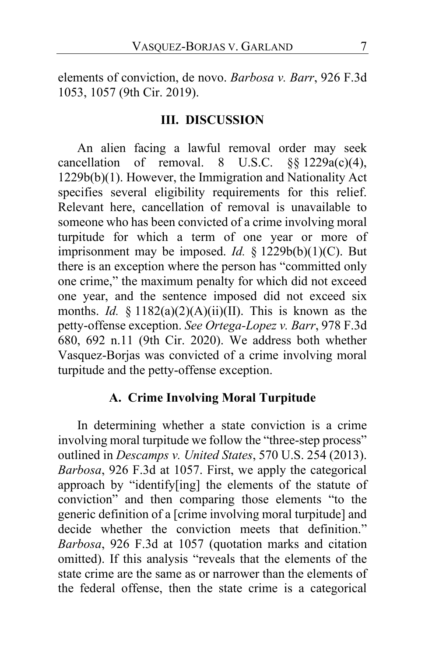elements of conviction, de novo. *Barbosa v. Barr*, 926 F.3d 1053, 1057 (9th Cir. 2019).

### **III. DISCUSSION**

An alien facing a lawful removal order may seek cancellation of removal. 8 U.S.C.  $\S$ [\statialablancellation of removal. 8 U.S.C.  $\S$ [\statialablancellation] 1229b(b)(1). However, the Immigration and Nationality Act specifies several eligibility requirements for this relief. Relevant here, cancellation of removal is unavailable to someone who has been convicted of a crime involving moral turpitude for which a term of one year or more of imprisonment may be imposed. *Id.* § 1229b(b)(1)(C). But there is an exception where the person has "committed only one crime," the maximum penalty for which did not exceed one year, and the sentence imposed did not exceed six months. *Id.* § 1182(a)(2)(A)(ii)(II). This is known as the petty-offense exception. *See Ortega-Lopez v. Barr*, 978 F.3d 680, 692 n.11 (9th Cir. 2020). We address both whether Vasquez-Borjas was convicted of a crime involving moral turpitude and the petty-offense exception.

### **A. Crime Involving Moral Turpitude**

In determining whether a state conviction is a crime involving moral turpitude we follow the "three-step process" outlined in *Descamps v. United States*, 570 U.S. 254 (2013). *Barbosa*, 926 F.3d at 1057. First, we apply the categorical approach by "identify[ing] the elements of the statute of conviction" and then comparing those elements "to the generic definition of a [crime involving moral turpitude] and decide whether the conviction meets that definition." *Barbosa*, 926 F.3d at 1057 (quotation marks and citation omitted). If this analysis "reveals that the elements of the state crime are the same as or narrower than the elements of the federal offense, then the state crime is a categorical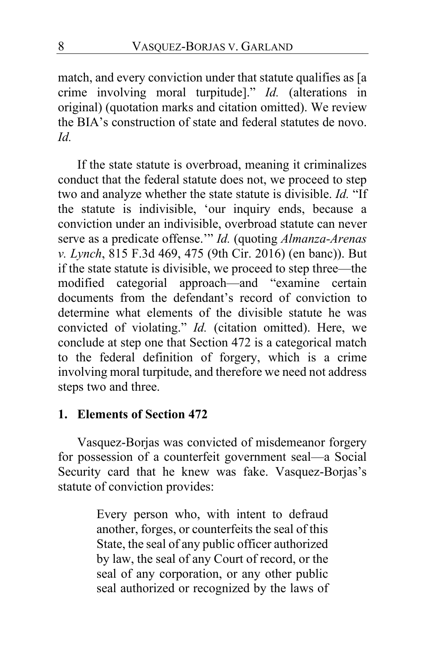match, and every conviction under that statute qualifies as [a crime involving moral turpitude]." *Id.* (alterations in original) (quotation marks and citation omitted). We review the BIA's construction of state and federal statutes de novo. *Id.*

If the state statute is overbroad, meaning it criminalizes conduct that the federal statute does not, we proceed to step two and analyze whether the state statute is divisible. *Id.* "If the statute is indivisible, 'our inquiry ends, because a conviction under an indivisible, overbroad statute can never serve as a predicate offense.'" *Id.* (quoting *Almanza-Arenas v. Lynch*, 815 F.3d 469, 475 (9th Cir. 2016) (en banc)). But if the state statute is divisible, we proceed to step three—the modified categorial approach—and "examine certain documents from the defendant's record of conviction to determine what elements of the divisible statute he was convicted of violating." *Id.* (citation omitted). Here, we conclude at step one that Section 472 is a categorical match to the federal definition of forgery, which is a crime involving moral turpitude, and therefore we need not address steps two and three.

### **1. Elements of Section 472**

Vasquez-Borjas was convicted of misdemeanor forgery for possession of a counterfeit government seal—a Social Security card that he knew was fake. Vasquez-Borjas's statute of conviction provides:

> Every person who, with intent to defraud another, forges, or counterfeits the seal of this State, the seal of any public officer authorized by law, the seal of any Court of record, or the seal of any corporation, or any other public seal authorized or recognized by the laws of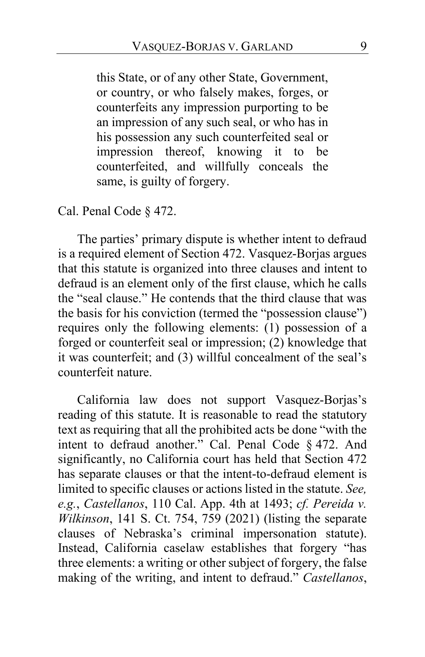this State, or of any other State, Government, or country, or who falsely makes, forges, or counterfeits any impression purporting to be an impression of any such seal, or who has in his possession any such counterfeited seal or impression thereof, knowing it to be counterfeited, and willfully conceals the same, is guilty of forgery.

Cal. Penal Code § 472.

The parties' primary dispute is whether intent to defraud is a required element of Section 472. Vasquez-Borjas argues that this statute is organized into three clauses and intent to defraud is an element only of the first clause, which he calls the "seal clause." He contends that the third clause that was the basis for his conviction (termed the "possession clause") requires only the following elements: (1) possession of a forged or counterfeit seal or impression; (2) knowledge that it was counterfeit; and (3) willful concealment of the seal's counterfeit nature.

California law does not support Vasquez-Borjas's reading of this statute. It is reasonable to read the statutory text as requiring that all the prohibited acts be done "with the intent to defraud another." Cal. Penal Code § 472. And significantly, no California court has held that Section 472 has separate clauses or that the intent-to-defraud element is limited to specific clauses or actions listed in the statute. *See, e.g.*, *Castellanos*, 110 Cal. App. 4th at 1493; *cf. Pereida v. Wilkinson*, 141 S. Ct. 754, 759 (2021) (listing the separate clauses of Nebraska's criminal impersonation statute). Instead, California caselaw establishes that forgery "has three elements: a writing or other subject of forgery, the false making of the writing, and intent to defraud." *Castellanos*,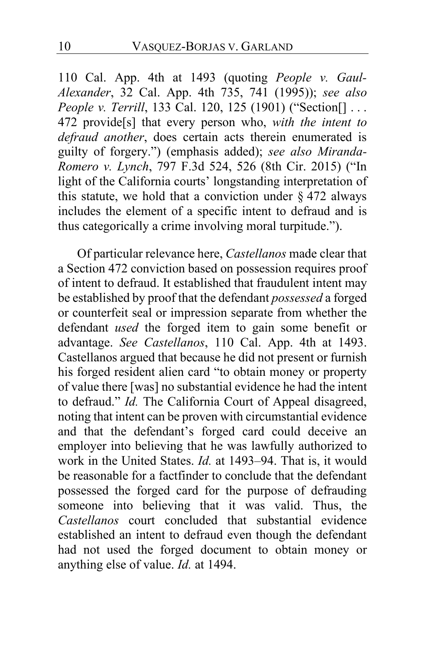110 Cal. App. 4th at 1493 (quoting *People v. Gaul-Alexander*, 32 Cal. App. 4th 735, 741 (1995)); *see also People v. Terrill*, 133 Cal. 120, 125 (1901) ("Section[] . . . 472 provide[s] that every person who, *with the intent to defraud another*, does certain acts therein enumerated is guilty of forgery.") (emphasis added); *see also Miranda-Romero v. Lynch*, 797 F.3d 524, 526 (8th Cir. 2015) ("In light of the California courts' longstanding interpretation of this statute, we hold that a conviction under  $\S$  472 always includes the element of a specific intent to defraud and is thus categorically a crime involving moral turpitude.").

Of particular relevance here, *Castellanos* made clear that a Section 472 conviction based on possession requires proof of intent to defraud. It established that fraudulent intent may be established by proof that the defendant *possessed* a forged or counterfeit seal or impression separate from whether the defendant *used* the forged item to gain some benefit or advantage. *See Castellanos*, 110 Cal. App. 4th at 1493. Castellanos argued that because he did not present or furnish his forged resident alien card "to obtain money or property of value there [was] no substantial evidence he had the intent to defraud." *Id.* The California Court of Appeal disagreed, noting that intent can be proven with circumstantial evidence and that the defendant's forged card could deceive an employer into believing that he was lawfully authorized to work in the United States. *Id.* at 1493–94. That is, it would be reasonable for a factfinder to conclude that the defendant possessed the forged card for the purpose of defrauding someone into believing that it was valid. Thus, the *Castellanos* court concluded that substantial evidence established an intent to defraud even though the defendant had not used the forged document to obtain money or anything else of value. *Id.* at 1494.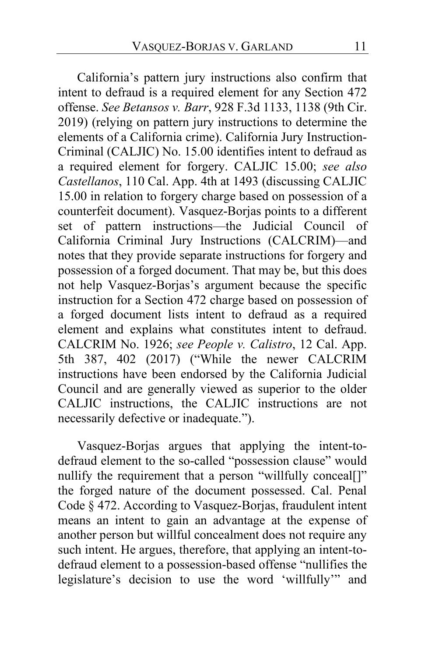California's pattern jury instructions also confirm that intent to defraud is a required element for any Section 472 offense. *See Betansos v. Barr*, 928 F.3d 1133, 1138 (9th Cir. 2019) (relying on pattern jury instructions to determine the elements of a California crime). California Jury Instruction-Criminal (CALJIC) No. 15.00 identifies intent to defraud as a required element for forgery. CALJIC 15.00; *see also Castellanos*, 110 Cal. App. 4th at 1493 (discussing CALJIC 15.00 in relation to forgery charge based on possession of a counterfeit document). Vasquez-Borjas points to a different set of pattern instructions—the Judicial Council of California Criminal Jury Instructions (CALCRIM)—and notes that they provide separate instructions for forgery and possession of a forged document. That may be, but this does not help Vasquez-Borjas's argument because the specific instruction for a Section 472 charge based on possession of a forged document lists intent to defraud as a required element and explains what constitutes intent to defraud. CALCRIM No. 1926; *see People v. Calistro*, 12 Cal. App. 5th 387, 402 (2017) ("While the newer CALCRIM instructions have been endorsed by the California Judicial Council and are generally viewed as superior to the older CALJIC instructions, the CALJIC instructions are not necessarily defective or inadequate.").

Vasquez-Borjas argues that applying the intent-todefraud element to the so-called "possession clause" would nullify the requirement that a person "willfully conceal[]" the forged nature of the document possessed. Cal. Penal Code § 472. According to Vasquez-Borjas, fraudulent intent means an intent to gain an advantage at the expense of another person but willful concealment does not require any such intent. He argues, therefore, that applying an intent-todefraud element to a possession-based offense "nullifies the legislature's decision to use the word 'willfully'" and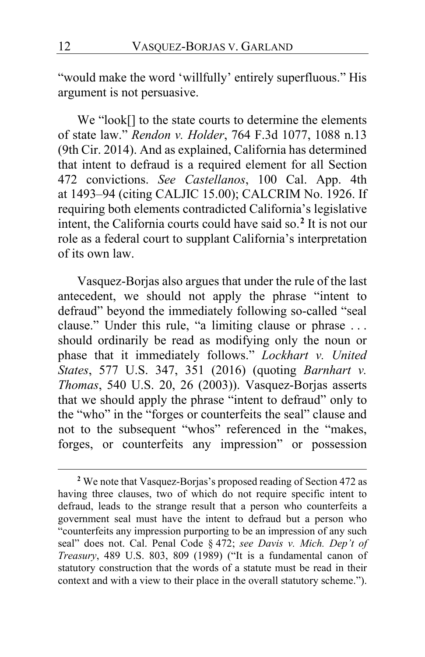"would make the word 'willfully' entirely superfluous." His argument is not persuasive.

We "look[] to the state courts to determine the elements of state law." *Rendon v. Holder*, 764 F.3d 1077, 1088 n.13 (9th Cir. 2014). And as explained, California has determined that intent to defraud is a required element for all Section 472 convictions. *See Castellanos*, 100 Cal. App. 4th at 1493–94 (citing CALJIC 15.00); CALCRIM No. 1926. If requiring both elements contradicted California's legislative intent, the California courts could have said so.**[2](#page-11-0)** It is not our role as a federal court to supplant California's interpretation of its own law.

Vasquez-Borjas also argues that under the rule of the last antecedent, we should not apply the phrase "intent to defraud" beyond the immediately following so-called "seal clause." Under this rule, "a limiting clause or phrase . . . should ordinarily be read as modifying only the noun or phase that it immediately follows." *Lockhart v. United States*, 577 U.S. 347, 351 (2016) (quoting *Barnhart v. Thomas*, 540 U.S. 20, 26 (2003)). Vasquez-Borjas asserts that we should apply the phrase "intent to defraud" only to the "who" in the "forges or counterfeits the seal" clause and not to the subsequent "whos" referenced in the "makes, forges, or counterfeits any impression" or possession

<span id="page-11-0"></span>**<sup>2</sup>** We note that Vasquez-Borjas's proposed reading of Section 472 as having three clauses, two of which do not require specific intent to defraud, leads to the strange result that a person who counterfeits a government seal must have the intent to defraud but a person who "counterfeits any impression purporting to be an impression of any such seal" does not. Cal. Penal Code § 472; *see Davis v. Mich. Dep't of Treasury*, 489 U.S. 803, 809 (1989) ("It is a fundamental canon of statutory construction that the words of a statute must be read in their context and with a view to their place in the overall statutory scheme.").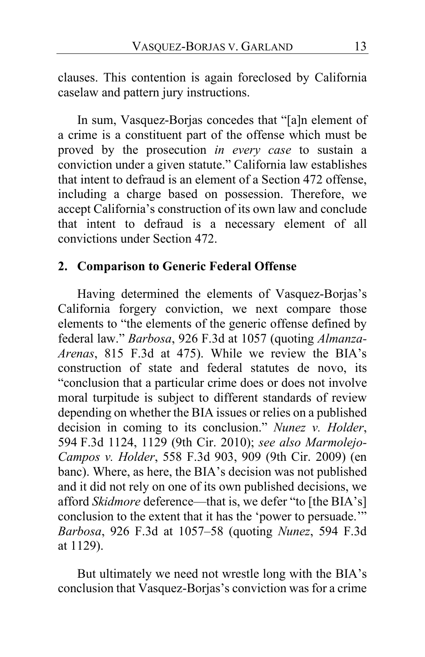clauses. This contention is again foreclosed by California caselaw and pattern jury instructions.

In sum, Vasquez-Borjas concedes that "[a]n element of a crime is a constituent part of the offense which must be proved by the prosecution *in every case* to sustain a conviction under a given statute." California law establishes that intent to defraud is an element of a Section 472 offense, including a charge based on possession. Therefore, we accept California's construction of its own law and conclude that intent to defraud is a necessary element of all convictions under Section 472.

# **2. Comparison to Generic Federal Offense**

Having determined the elements of Vasquez-Borjas's California forgery conviction, we next compare those elements to "the elements of the generic offense defined by federal law." *Barbosa*, 926 F.3d at 1057 (quoting *Almanza-Arenas*, 815 F.3d at 475). While we review the BIA's construction of state and federal statutes de novo, its "conclusion that a particular crime does or does not involve moral turpitude is subject to different standards of review depending on whether the BIA issues or relies on a published decision in coming to its conclusion." *Nunez v. Holder*, 594 F.3d 1124, 1129 (9th Cir. 2010); *see also Marmolejo-Campos v. Holder*, 558 F.3d 903, 909 (9th Cir. 2009) (en banc). Where, as here, the BIA's decision was not published and it did not rely on one of its own published decisions, we afford *Skidmore* deference—that is, we defer "to [the BIA's] conclusion to the extent that it has the 'power to persuade.'" *Barbosa*, 926 F.3d at 1057–58 (quoting *Nunez*, 594 F.3d at 1129).

But ultimately we need not wrestle long with the BIA's conclusion that Vasquez-Borjas's conviction was for a crime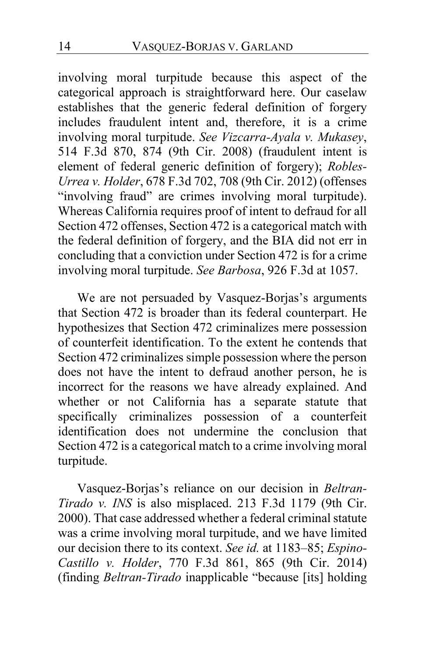involving moral turpitude because this aspect of the categorical approach is straightforward here. Our caselaw establishes that the generic federal definition of forgery includes fraudulent intent and, therefore, it is a crime involving moral turpitude. *See Vizcarra-Ayala v. Mukasey*, 514 F.3d 870, 874 (9th Cir. 2008) (fraudulent intent is element of federal generic definition of forgery); *Robles-Urrea v. Holder*, 678 F.3d 702, 708 (9th Cir. 2012) (offenses "involving fraud" are crimes involving moral turpitude). Whereas California requires proof of intent to defraud for all Section 472 offenses, Section 472 is a categorical match with the federal definition of forgery, and the BIA did not err in concluding that a conviction under Section 472 is for a crime involving moral turpitude. *See Barbosa*, 926 F.3d at 1057.

We are not persuaded by Vasquez-Borjas's arguments that Section 472 is broader than its federal counterpart. He hypothesizes that Section 472 criminalizes mere possession of counterfeit identification. To the extent he contends that Section 472 criminalizes simple possession where the person does not have the intent to defraud another person, he is incorrect for the reasons we have already explained. And whether or not California has a separate statute that specifically criminalizes possession of a counterfeit identification does not undermine the conclusion that Section 472 is a categorical match to a crime involving moral turpitude.

Vasquez-Borjas's reliance on our decision in *Beltran-Tirado v. INS* is also misplaced. 213 F.3d 1179 (9th Cir. 2000). That case addressed whether a federal criminal statute was a crime involving moral turpitude, and we have limited our decision there to its context. *See id.* at 1183–85; *Espino-Castillo v. Holder*, 770 F.3d 861, 865 (9th Cir. 2014) (finding *Beltran-Tirado* inapplicable "because [its] holding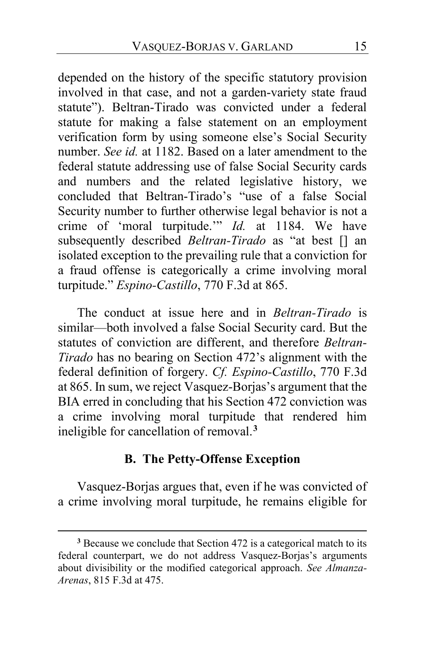depended on the history of the specific statutory provision involved in that case, and not a garden-variety state fraud statute"). Beltran-Tirado was convicted under a federal statute for making a false statement on an employment verification form by using someone else's Social Security number. *See id.* at 1182. Based on a later amendment to the federal statute addressing use of false Social Security cards and numbers and the related legislative history, we concluded that Beltran-Tirado's "use of a false Social Security number to further otherwise legal behavior is not a crime of 'moral turpitude.'" *Id.* at 1184. We have subsequently described *Beltran-Tirado* as "at best [] an isolated exception to the prevailing rule that a conviction for a fraud offense is categorically a crime involving moral turpitude." *Espino-Castillo*, 770 F.3d at 865.

The conduct at issue here and in *Beltran-Tirado* is similar—both involved a false Social Security card. But the statutes of conviction are different, and therefore *Beltran-Tirado* has no bearing on Section 472's alignment with the federal definition of forgery. *Cf. Espino-Castillo*, 770 F.3d at 865. In sum, we reject Vasquez-Borjas's argument that the BIA erred in concluding that his Section 472 conviction was a crime involving moral turpitude that rendered him ineligible for cancellation of removal.**[3](#page-14-0)**

### **B. The Petty-Offense Exception**

Vasquez-Borjas argues that, even if he was convicted of a crime involving moral turpitude, he remains eligible for

<span id="page-14-0"></span>**<sup>3</sup>** Because we conclude that Section 472 is a categorical match to its federal counterpart, we do not address Vasquez-Borjas's arguments about divisibility or the modified categorical approach. *See Almanza-Arenas*, 815 F.3d at 475.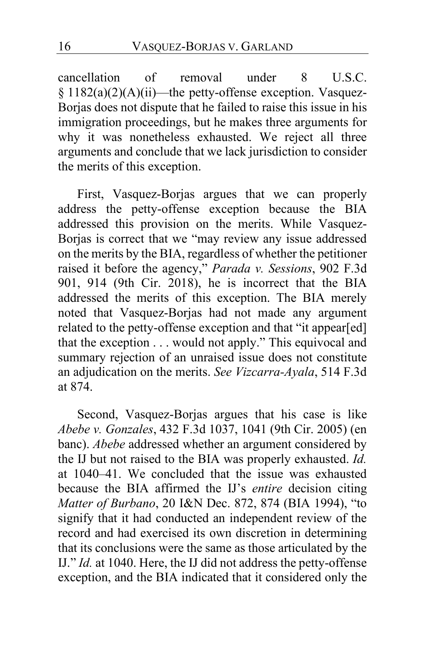cancellation of removal under 8 U.S.C. § 1182(a)(2)(A)(ii)—the petty-offense exception. Vasquez-Borjas does not dispute that he failed to raise this issue in his immigration proceedings, but he makes three arguments for why it was nonetheless exhausted. We reject all three arguments and conclude that we lack jurisdiction to consider the merits of this exception.

First, Vasquez-Borjas argues that we can properly address the petty-offense exception because the BIA addressed this provision on the merits. While Vasquez-Borjas is correct that we "may review any issue addressed on the merits by the BIA, regardless of whether the petitioner raised it before the agency," *Parada v. Sessions*, 902 F.3d 901, 914 (9th Cir. 2018), he is incorrect that the BIA addressed the merits of this exception. The BIA merely noted that Vasquez-Borjas had not made any argument related to the petty-offense exception and that "it appear[ed] that the exception . . . would not apply." This equivocal and summary rejection of an unraised issue does not constitute an adjudication on the merits. *See Vizcarra-Ayala*, 514 F.3d at 874.

Second, Vasquez-Borjas argues that his case is like *Abebe v. Gonzales*, 432 F.3d 1037, 1041 (9th Cir. 2005) (en banc). *Abebe* addressed whether an argument considered by the IJ but not raised to the BIA was properly exhausted. *Id.* at 1040–41. We concluded that the issue was exhausted because the BIA affirmed the IJ's *entire* decision citing *Matter of Burbano*, 20 I&N Dec. 872, 874 (BIA 1994), "to signify that it had conducted an independent review of the record and had exercised its own discretion in determining that its conclusions were the same as those articulated by the IJ." *Id.* at 1040. Here, the IJ did not address the petty-offense exception, and the BIA indicated that it considered only the